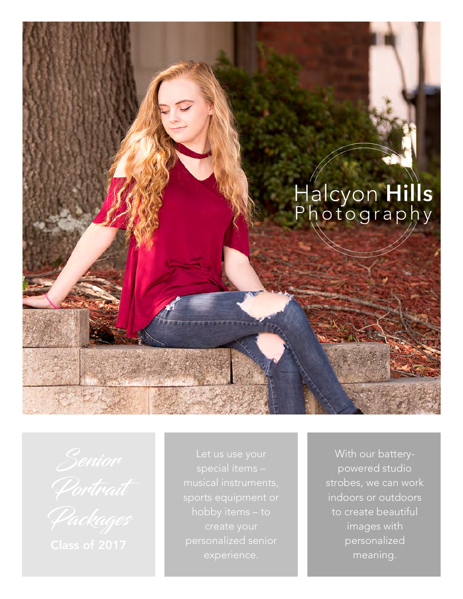## Halcyon Hills<br>Photography

With our battery powered studio strobes, we can work indoors or outdoors to create beautiful images with personalized meaning.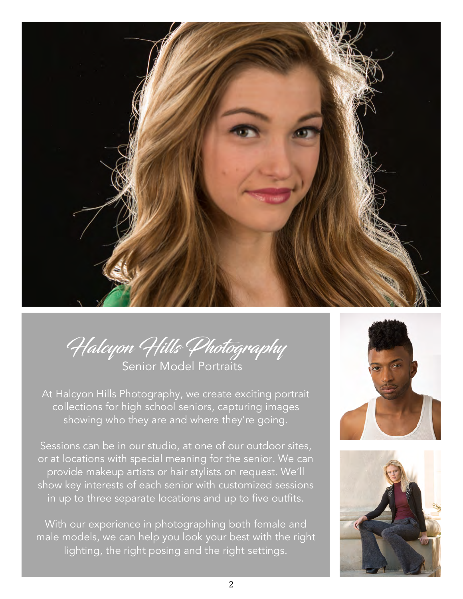

Halcyon Hills Photography Senior Model Portraits

At Halcyon Hills Photography, we create exciting portrait collections for high school seniors, capturing images showing who they are and where they're going.

Sessions can be in our studio, at one of our outdoor sites, or at locations with special meaning for the senior. We can provide makeup artists or hair stylists on request. We'll show key interests of each senior with customized sessions in up to three separate locations and up to five outfits.

With our experience in photographing both female and male models, we can help you look your best with the right lighting, the right posing and the right settings.



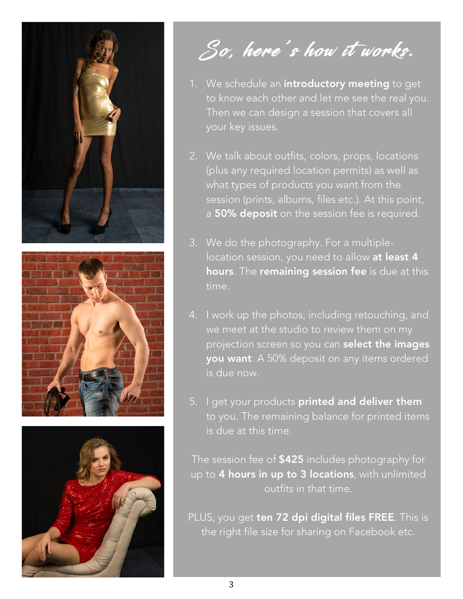





So, here's how it works.

- 1. We schedule an introductory meeting to get to know each other and let me see the real you. Then we can design a session that covers all your key issues.
- 2. We talk about outfits, colors, props, locations (plus any required location permits) as well as what types of products you want from the session (prints, albums, files etc.). At this point, a 50% deposit on the session fee is required.
- 3. We do the photography. For a multiplelocation session, you need to allow at least 4 hours. The remaining session fee is due at this time.
- 4. I work up the photos, including retouching, and we meet at the studio to review them on my projection screen so you can **select the images** you want. A 50% deposit on any items ordered is due now.
- 5. I get your products printed and deliver them to you. The remaining balance for printed items is due at this time.

The session fee of **\$425** includes photography for up to 4 hours in up to 3 locations, with unlimited outfits in that time.

PLUS, you get ten 72 dpi digital files FREE. This is the right file size for sharing on Facebook etc.